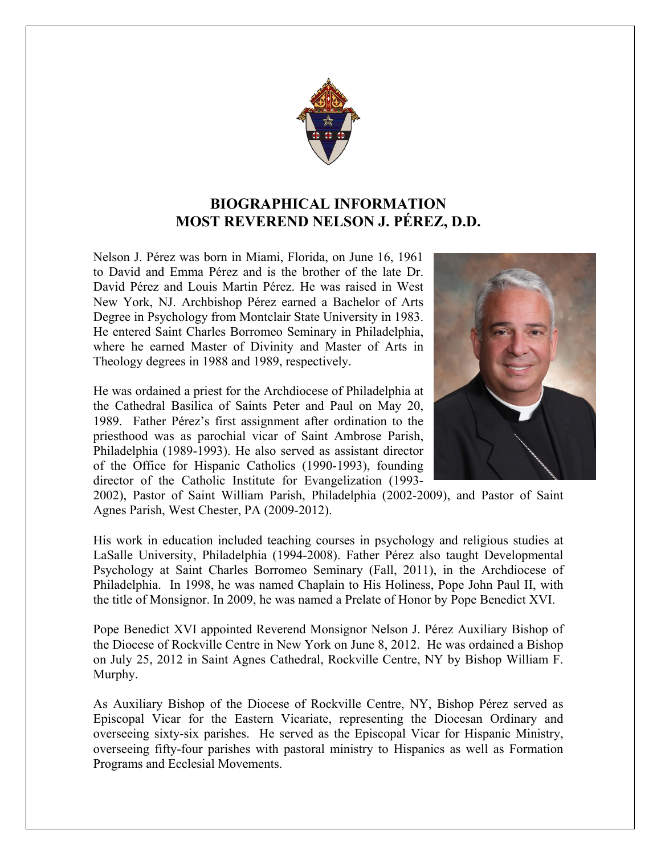

## **BIOGRAPHICAL INFORMATION MOST REVEREND NELSON J. PÉREZ, D.D.**

Nelson J. Pérez was born in Miami, Florida, on June 16, 1961 to David and Emma Pérez and is the brother of the late Dr. David Pérez and Louis Martin Pérez. He was raised in West New York, NJ. Archbishop Pérez earned a Bachelor of Arts Degree in Psychology from Montclair State University in 1983. He entered Saint Charles Borromeo Seminary in Philadelphia, where he earned Master of Divinity and Master of Arts in Theology degrees in 1988 and 1989, respectively.

He was ordained a priest for the Archdiocese of Philadelphia at the Cathedral Basilica of Saints Peter and Paul on May 20, 1989. Father Pérez's first assignment after ordination to the priesthood was as parochial vicar of Saint Ambrose Parish, Philadelphia (1989-1993). He also served as assistant director of the Office for Hispanic Catholics (1990-1993), founding director of the Catholic Institute for Evangelization (1993-



2002), Pastor of Saint William Parish, Philadelphia (2002-2009), and Pastor of Saint Agnes Parish, West Chester, PA (2009-2012).

His work in education included teaching courses in psychology and religious studies at LaSalle University, Philadelphia (1994-2008). Father Pérez also taught Developmental Psychology at Saint Charles Borromeo Seminary (Fall, 2011), in the Archdiocese of Philadelphia. In 1998, he was named Chaplain to His Holiness, Pope John Paul II, with the title of Monsignor. In 2009, he was named a Prelate of Honor by Pope Benedict XVI.

Pope Benedict XVI appointed Reverend Monsignor Nelson J. Pérez Auxiliary Bishop of the Diocese of Rockville Centre in New York on June 8, 2012. He was ordained a Bishop on July 25, 2012 in Saint Agnes Cathedral, Rockville Centre, NY by Bishop William F. Murphy.

As Auxiliary Bishop of the Diocese of Rockville Centre, NY, Bishop Pérez served as Episcopal Vicar for the Eastern Vicariate, representing the Diocesan Ordinary and overseeing sixty-six parishes. He served as the Episcopal Vicar for Hispanic Ministry, overseeing fifty-four parishes with pastoral ministry to Hispanics as well as Formation Programs and Ecclesial Movements.